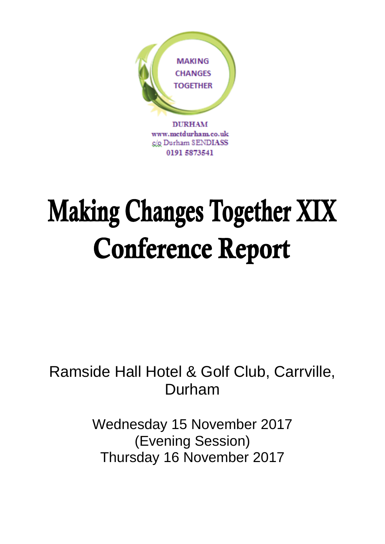

# **Making Changes Together XIX Conference Report**

## Ramside Hall Hotel & Golf Club, Carrville, Durham

Wednesday 15 November 2017 (Evening Session) Thursday 16 November 2017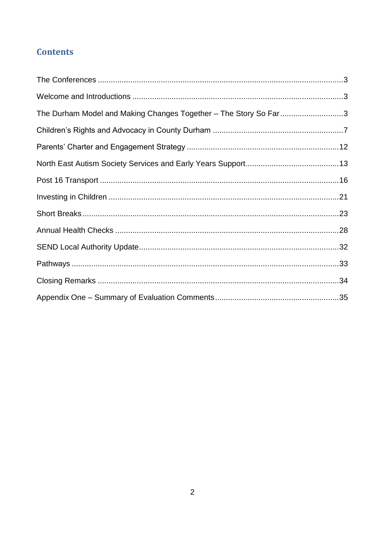## **Contents**

| The Durham Model and Making Changes Together - The Story So Far3 |  |
|------------------------------------------------------------------|--|
|                                                                  |  |
|                                                                  |  |
|                                                                  |  |
|                                                                  |  |
|                                                                  |  |
|                                                                  |  |
|                                                                  |  |
|                                                                  |  |
|                                                                  |  |
|                                                                  |  |
|                                                                  |  |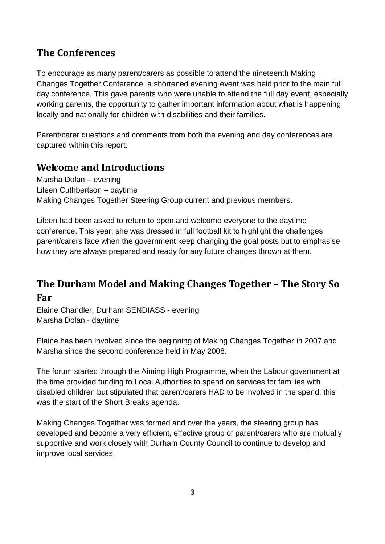## <span id="page-2-0"></span>**The Conferences**

To encourage as many parent/carers as possible to attend the nineteenth Making Changes Together Conference, a shortened evening event was held prior to the main full day conference. This gave parents who were unable to attend the full day event, especially working parents, the opportunity to gather important information about what is happening locally and nationally for children with disabilities and their families.

Parent/carer questions and comments from both the evening and day conferences are captured within this report.

## <span id="page-2-1"></span>**Welcome and Introductions**

Marsha Dolan – evening Lileen Cuthbertson – daytime Making Changes Together Steering Group current and previous members.

Lileen had been asked to return to open and welcome everyone to the daytime conference. This year, she was dressed in full football kit to highlight the challenges parent/carers face when the government keep changing the goal posts but to emphasise how they are always prepared and ready for any future changes thrown at them.

## <span id="page-2-2"></span>**The Durham Model and Making Changes Together – The Story So**

#### **Far**

Elaine Chandler, Durham SENDIASS - evening Marsha Dolan - daytime

Elaine has been involved since the beginning of Making Changes Together in 2007 and Marsha since the second conference held in May 2008.

The forum started through the Aiming High Programme, when the Labour government at the time provided funding to Local Authorities to spend on services for families with disabled children but stipulated that parent/carers HAD to be involved in the spend; this was the start of the Short Breaks agenda.

Making Changes Together was formed and over the years, the steering group has developed and become a very efficient, effective group of parent/carers who are mutually supportive and work closely with Durham County Council to continue to develop and improve local services.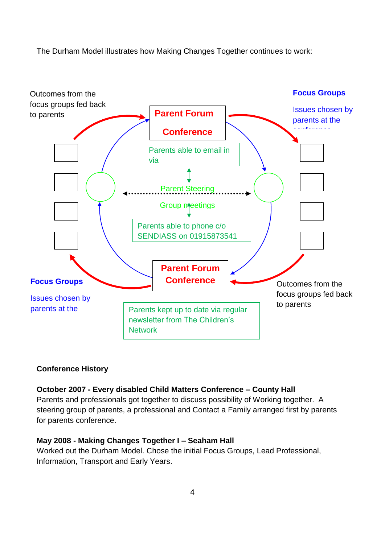The Durham Model illustrates how Making Changes Together continues to work:



#### **Conference History**

#### **October 2007 - Every disabled Child Matters Conference – County Hall**

Parents and professionals got together to discuss possibility of Working together. A steering group of parents, a professional and Contact a Family arranged first by parents for parents conference.

#### **May 2008 - Making Changes Together I – Seaham Hall**

Worked out the Durham Model. Chose the initial Focus Groups, Lead Professional, Information, Transport and Early Years.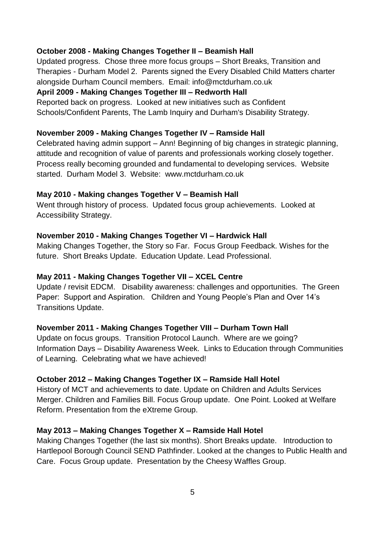#### **October 2008 - Making Changes Together II – Beamish Hall**

Updated progress. Chose three more focus groups – Short Breaks, Transition and Therapies - Durham Model 2. Parents signed the Every Disabled Child Matters charter alongside Durham Council members. Email: info@mctdurham.co.uk

#### **April 2009 - Making Changes Together III – Redworth Hall**

Reported back on progress. Looked at new initiatives such as Confident Schools/Confident Parents, The Lamb Inquiry and Durham's Disability Strategy.

#### **November 2009 - Making Changes Together IV – Ramside Hall**

Celebrated having admin support – Ann! Beginning of big changes in strategic planning, attitude and recognition of value of parents and professionals working closely together. Process really becoming grounded and fundamental to developing services. Website started. Durham Model 3. Website: www.mctdurham.co.uk

#### **May 2010 - Making changes Together V – Beamish Hall**

Went through history of process. Updated focus group achievements. Looked at Accessibility Strategy.

#### **November 2010 - Making Changes Together VI – Hardwick Hall**

Making Changes Together, the Story so Far. Focus Group Feedback. Wishes for the future. Short Breaks Update. Education Update. Lead Professional.

#### **May 2011 - Making Changes Together VII – XCEL Centre**

Update / revisit EDCM. Disability awareness: challenges and opportunities. The Green Paper: Support and Aspiration. Children and Young People's Plan and Over 14's Transitions Update.

#### **November 2011 - Making Changes Together VIII – Durham Town Hall**

Update on focus groups. Transition Protocol Launch. Where are we going? Information Days – Disability Awareness Week. Links to Education through Communities of Learning. Celebrating what we have achieved!

#### **October 2012 – Making Changes Together IX – Ramside Hall Hotel**

History of MCT and achievements to date. Update on Children and Adults Services Merger. Children and Families Bill. Focus Group update. One Point. Looked at Welfare Reform. Presentation from the eXtreme Group.

#### **May 2013 – Making Changes Together X – Ramside Hall Hotel**

Making Changes Together (the last six months). Short Breaks update. Introduction to Hartlepool Borough Council SEND Pathfinder. Looked at the changes to Public Health and Care. Focus Group update. Presentation by the Cheesy Waffles Group.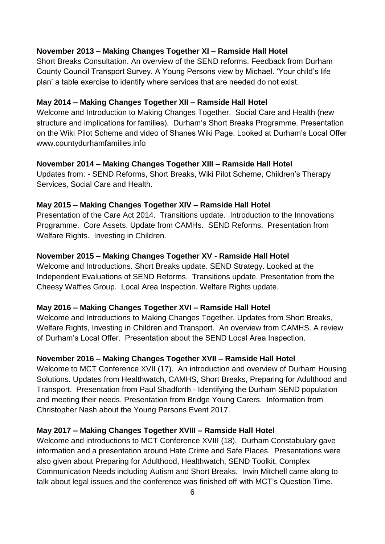#### **November 2013 – Making Changes Together XI – Ramside Hall Hotel**

Short Breaks Consultation. An overview of the SEND reforms. Feedback from Durham County Council Transport Survey. A Young Persons view by Michael. 'Your child's life plan' a table exercise to identify where services that are needed do not exist.

#### **May 2014 – Making Changes Together XII – Ramside Hall Hotel**

Welcome and Introduction to Making Changes Together. Social Care and Health (new structure and implications for families). Durham's Short Breaks Programme. Presentation on the Wiki Pilot Scheme and video of Shanes Wiki Page. Looked at Durham's Local Offer www.countydurhamfamilies.info

#### **November 2014 – Making Changes Together XIII – Ramside Hall Hotel**

Updates from: - SEND Reforms, Short Breaks, Wiki Pilot Scheme, Children's Therapy Services, Social Care and Health.

#### **May 2015 – Making Changes Together XIV – Ramside Hall Hotel**

Presentation of the Care Act 2014. Transitions update. Introduction to the Innovations Programme. Core Assets. Update from CAMHs. SEND Reforms. Presentation from Welfare Rights. Investing in Children.

#### **November 2015 – Making Changes Together XV - Ramside Hall Hotel**

Welcome and Introductions. Short Breaks update. SEND Strategy. Looked at the Independent Evaluations of SEND Reforms. Transitions update. Presentation from the Cheesy Waffles Group. Local Area Inspection. Welfare Rights update.

#### **May 2016 – Making Changes Together XVI – Ramside Hall Hotel**

Welcome and Introductions to Making Changes Together. Updates from Short Breaks, Welfare Rights, Investing in Children and Transport. An overview from CAMHS. A review of Durham's Local Offer. Presentation about the SEND Local Area Inspection.

#### **November 2016 – Making Changes Together XVII – Ramside Hall Hotel**

Welcome to MCT Conference XVII (17). An introduction and overview of Durham Housing Solutions. Updates from Healthwatch, CAMHS, Short Breaks, Preparing for Adulthood and Transport. Presentation from Paul Shadforth - Identifying the Durham SEND population and meeting their needs. Presentation from Bridge Young Carers. Information from Christopher Nash about the Young Persons Event 2017.

#### **May 2017 – Making Changes Together XVIII – Ramside Hall Hotel**

Welcome and introductions to MCT Conference XVIII (18). Durham Constabulary gave information and a presentation around Hate Crime and Safe Places. Presentations were also given about Preparing for Adulthood, Healthwatch, SEND Toolkit, Complex Communication Needs including Autism and Short Breaks. Irwin Mitchell came along to talk about legal issues and the conference was finished off with MCT's Question Time.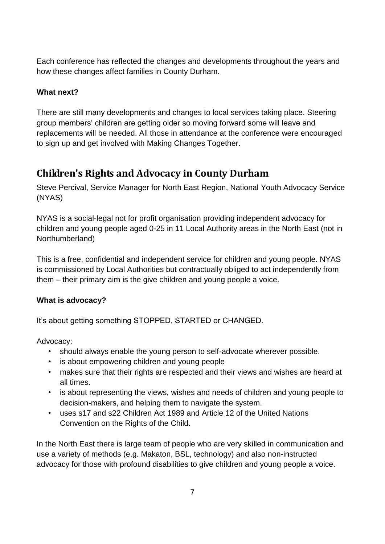Each conference has reflected the changes and developments throughout the years and how these changes affect families in County Durham.

#### **What next?**

There are still many developments and changes to local services taking place. Steering group members' children are getting older so moving forward some will leave and replacements will be needed. All those in attendance at the conference were encouraged to sign up and get involved with Making Changes Together.

## <span id="page-6-0"></span>**Children's Rights and Advocacy in County Durham**

Steve Percival, Service Manager for North East Region, National Youth Advocacy Service (NYAS)

NYAS is a social-legal not for profit organisation providing independent advocacy for children and young people aged 0-25 in 11 Local Authority areas in the North East (not in Northumberland)

This is a free, confidential and independent service for children and young people. NYAS is commissioned by Local Authorities but contractually obliged to act independently from them – their primary aim is the give children and young people a voice.

#### **What is advocacy?**

It's about getting something STOPPED, STARTED or CHANGED.

Advocacy:

- should always enable the young person to self-advocate wherever possible.
- is about empowering children and young people
- makes sure that their rights are respected and their views and wishes are heard at all times.
- is about representing the views, wishes and needs of children and young people to decision-makers, and helping them to navigate the system.
- uses s17 and s22 Children Act 1989 and Article 12 of the United Nations Convention on the Rights of the Child.

In the North East there is large team of people who are very skilled in communication and use a variety of methods (e.g. Makaton, BSL, technology) and also non-instructed advocacy for those with profound disabilities to give children and young people a voice.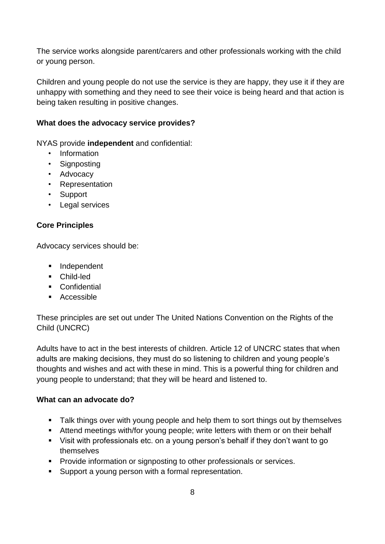The service works alongside parent/carers and other professionals working with the child or young person.

Children and young people do not use the service is they are happy, they use it if they are unhappy with something and they need to see their voice is being heard and that action is being taken resulting in positive changes.

#### **What does the advocacy service provides?**

NYAS provide **independent** and confidential:

- Information
- Signposting
- Advocacy
- Representation
- Support
- Legal services

#### **Core Principles**

Advocacy services should be:

- **Independent**
- Child-led
- **Confidential**
- **Accessible**

These principles are set out under The United Nations Convention on the Rights of the Child (UNCRC)

Adults have to act in the best interests of children. Article 12 of UNCRC states that when adults are making decisions, they must do so listening to children and young people's thoughts and wishes and act with these in mind. This is a powerful thing for children and young people to understand; that they will be heard and listened to.

#### **What can an advocate do?**

- **Talk things over with young people and help them to sort things out by themselves**
- Attend meetings with/for young people; write letters with them or on their behalf
- Visit with professionals etc. on a young person's behalf if they don't want to go themselves
- **Provide information or signposting to other professionals or services.**
- Support a young person with a formal representation.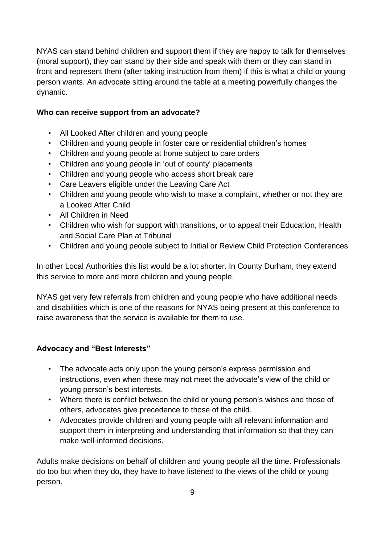NYAS can stand behind children and support them if they are happy to talk for themselves (moral support), they can stand by their side and speak with them or they can stand in front and represent them (after taking instruction from them) if this is what a child or young person wants. An advocate sitting around the table at a meeting powerfully changes the dynamic.

#### **Who can receive support from an advocate?**

- All Looked After children and young people
- Children and young people in foster care or residential children's homes
- Children and young people at home subject to care orders
- Children and young people in 'out of county' placements
- Children and young people who access short break care
- Care Leavers eligible under the Leaving Care Act
- Children and young people who wish to make a complaint, whether or not they are a Looked After Child
- All Children in Need
- Children who wish for support with transitions, or to appeal their Education, Health and Social Care Plan at Tribunal
- Children and young people subject to Initial or Review Child Protection Conferences

In other Local Authorities this list would be a lot shorter. In County Durham, they extend this service to more and more children and young people.

NYAS get very few referrals from children and young people who have additional needs and disabilities which is one of the reasons for NYAS being present at this conference to raise awareness that the service is available for them to use.

#### **Advocacy and "Best Interests"**

- The advocate acts only upon the young person's express permission and instructions, even when these may not meet the advocate's view of the child or young person's best interests.
- Where there is conflict between the child or young person's wishes and those of others, advocates give precedence to those of the child.
- Advocates provide children and young people with all relevant information and support them in interpreting and understanding that information so that they can make well-informed decisions.

Adults make decisions on behalf of children and young people all the time. Professionals do too but when they do, they have to have listened to the views of the child or young person.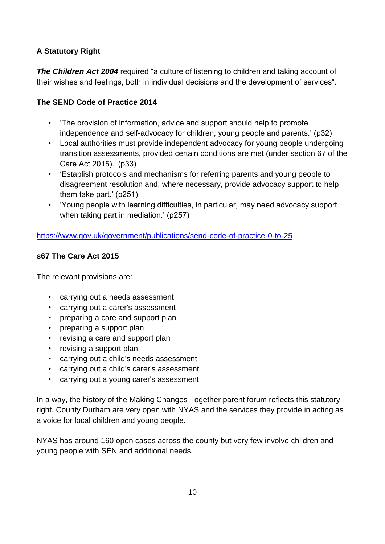#### **A Statutory Right**

**The Children Act 2004** required "a culture of listening to children and taking account of their wishes and feelings, both in individual decisions and the development of services".

#### **The SEND Code of Practice 2014**

- 'The provision of information, advice and support should help to promote independence and self-advocacy for children, young people and parents.' (p32)
- Local authorities must provide independent advocacy for young people undergoing transition assessments, provided certain conditions are met (under section 67 of the Care Act 2015).' (p33)
- 'Establish protocols and mechanisms for referring parents and young people to disagreement resolution and, where necessary, provide advocacy support to help them take part.' (p251)
- 'Young people with learning difficulties, in particular, may need advocacy support when taking part in mediation.' (p257)

<https://www.gov.uk/government/publications/send-code-of-practice-0-to-25>

#### **s67 The Care Act 2015**

The relevant provisions are:

- carrying out a needs assessment
- carrying out a carer's assessment
- preparing a care and support plan
- preparing a support plan
- revising a care and support plan
- revising a support plan
- carrying out a child's needs assessment
- carrying out a child's carer's assessment
- carrying out a young carer's assessment

In a way, the history of the Making Changes Together parent forum reflects this statutory right. County Durham are very open with NYAS and the services they provide in acting as a voice for local children and young people.

NYAS has around 160 open cases across the county but very few involve children and young people with SEN and additional needs.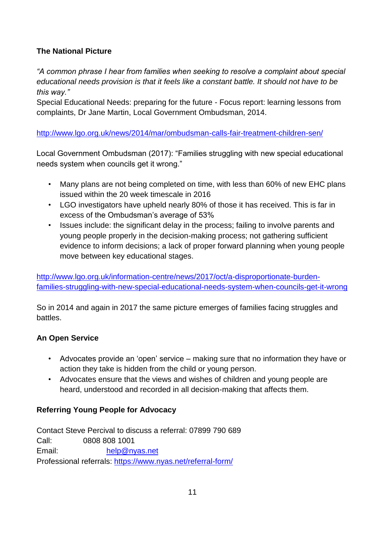#### **The National Picture**

*"A common phrase I hear from families when seeking to resolve a complaint about special educational needs provision is that it feels like a constant battle. It should not have to be this way."*

Special Educational Needs: preparing for the future - Focus report: learning lessons from complaints, Dr Jane Martin, Local Government Ombudsman, 2014.

<http://www.lgo.org.uk/news/2014/mar/ombudsman-calls-fair-treatment-children-sen/>

Local Government Ombudsman (2017): "Families struggling with new special educational needs system when councils get it wrong."

- Many plans are not being completed on time, with less than 60% of new EHC plans issued within the 20 week timescale in 2016
- LGO investigators have upheld nearly 80% of those it has received. This is far in excess of the Ombudsman's average of 53%
- Issues include: the significant delay in the process; failing to involve parents and young people properly in the decision-making process; not gathering sufficient evidence to inform decisions; a lack of proper forward planning when young people move between key educational stages.

[http://www.lgo.org.uk/information-centre/news/2017/oct/a-disproportionate-burden](http://www.lgo.org.uk/information-centre/news/2017/oct/a-disproportionate-burden-families-struggling-with-new-special-educational-needs-system-when-councils-get-it-wrong)[families-struggling-with-new-special-educational-needs-system-when-councils-get-it-wrong](http://www.lgo.org.uk/information-centre/news/2017/oct/a-disproportionate-burden-families-struggling-with-new-special-educational-needs-system-when-councils-get-it-wrong)

So in 2014 and again in 2017 the same picture emerges of families facing struggles and battles.

#### **An Open Service**

- Advocates provide an 'open' service making sure that no information they have or action they take is hidden from the child or young person.
- Advocates ensure that the views and wishes of children and young people are heard, understood and recorded in all decision-making that affects them.

#### **Referring Young People for Advocacy**

Contact Steve Percival to discuss a referral: 07899 790 689 Call: 0808 808 1001 Email: [help@nyas.net](mailto:help@nyas.net) Professional referrals:<https://www.nyas.net/referral-form/>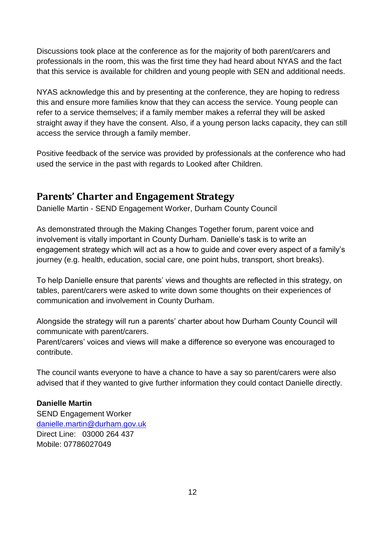Discussions took place at the conference as for the majority of both parent/carers and professionals in the room, this was the first time they had heard about NYAS and the fact that this service is available for children and young people with SEN and additional needs.

NYAS acknowledge this and by presenting at the conference, they are hoping to redress this and ensure more families know that they can access the service. Young people can refer to a service themselves; if a family member makes a referral they will be asked straight away if they have the consent. Also, if a young person lacks capacity, they can still access the service through a family member.

Positive feedback of the service was provided by professionals at the conference who had used the service in the past with regards to Looked after Children.

### <span id="page-11-0"></span>**Parents' Charter and Engagement Strategy**

Danielle Martin - SEND Engagement Worker, Durham County Council

As demonstrated through the Making Changes Together forum, parent voice and involvement is vitally important in County Durham. Danielle's task is to write an engagement strategy which will act as a how to guide and cover every aspect of a family's journey (e.g. health, education, social care, one point hubs, transport, short breaks).

To help Danielle ensure that parents' views and thoughts are reflected in this strategy, on tables, parent/carers were asked to write down some thoughts on their experiences of communication and involvement in County Durham.

Alongside the strategy will run a parents' charter about how Durham County Council will communicate with parent/carers.

Parent/carers' voices and views will make a difference so everyone was encouraged to contribute.

The council wants everyone to have a chance to have a say so parent/carers were also advised that if they wanted to give further information they could contact Danielle directly.

#### **Danielle Martin**

SEND Engagement Worker [danielle.martin@durham.gov.uk](mailto:danielle.martin@durham.gov.uk) Direct Line: 03000 264 437 Mobile: 07786027049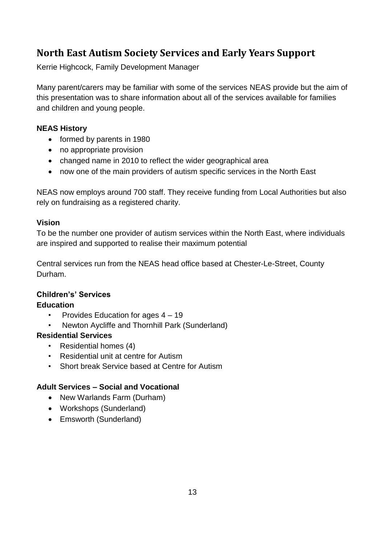## <span id="page-12-0"></span>**North East Autism Society Services and Early Years Support**

Kerrie Highcock, Family Development Manager

Many parent/carers may be familiar with some of the services NEAS provide but the aim of this presentation was to share information about all of the services available for families and children and young people.

#### **NEAS History**

- formed by parents in 1980
- no appropriate provision
- changed name in 2010 to reflect the wider geographical area
- now one of the main providers of autism specific services in the North East

NEAS now employs around 700 staff. They receive funding from Local Authorities but also rely on fundraising as a registered charity.

#### **Vision**

To be the number one provider of autism services within the North East, where individuals are inspired and supported to realise their maximum potential

Central services run from the NEAS head office based at Chester-Le-Street, County Durham.

## **Children's' Services**

#### **Education**

- Provides Education for ages 4 19
- Newton Aycliffe and Thornhill Park (Sunderland)

#### **Residential Services**

- Residential homes (4)
- Residential unit at centre for Autism
- Short break Service based at Centre for Autism

#### **Adult Services – Social and Vocational**

- New Warlands Farm (Durham)
- Workshops (Sunderland)
- Emsworth (Sunderland)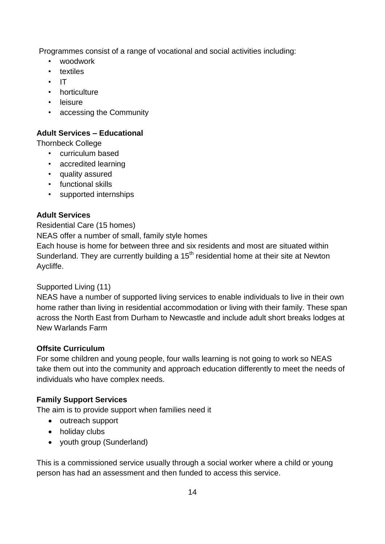Programmes consist of a range of vocational and social activities including:

- woodwork
- textiles
- IT
- horticulture
- leisure
- accessing the Community

#### **Adult Services – Educational**

Thornbeck College

- curriculum based
- accredited learning
- quality assured
- functional skills
- supported internships

#### **Adult Services**

#### Residential Care (15 homes)

NEAS offer a number of small, family style homes

Each house is home for between three and six residents and most are situated within Sunderland. They are currently building a 15<sup>th</sup> residential home at their site at Newton Aycliffe.

#### Supported Living (11)

NEAS have a number of supported living services to enable individuals to live in their own home rather than living in residential accommodation or living with their family. These span across the North East from Durham to Newcastle and include adult short breaks lodges at New Warlands Farm

#### **Offsite Curriculum**

For some children and young people, four walls learning is not going to work so NEAS take them out into the community and approach education differently to meet the needs of individuals who have complex needs.

#### **Family Support Services**

The aim is to provide support when families need it

- outreach support
- holiday clubs
- youth group (Sunderland)

This is a commissioned service usually through a social worker where a child or young person has had an assessment and then funded to access this service.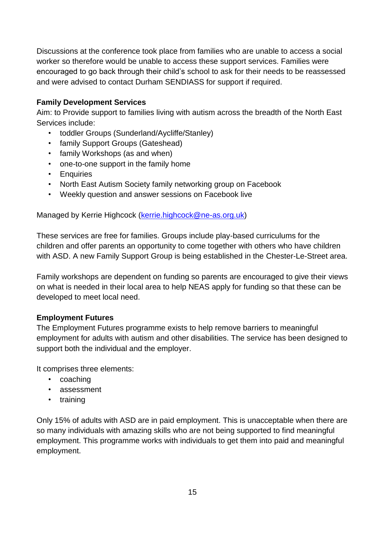Discussions at the conference took place from families who are unable to access a social worker so therefore would be unable to access these support services. Families were encouraged to go back through their child's school to ask for their needs to be reassessed and were advised to contact Durham SENDIASS for support if required.

#### **Family Development Services**

Aim: to Provide support to families living with autism across the breadth of the North East Services include:

- toddler Groups (Sunderland/Aycliffe/Stanley)
- family Support Groups (Gateshead)
- family Workshops (as and when)
- one-to-one support in the family home
- Enquiries
- North East Autism Society family networking group on Facebook
- Weekly question and answer sessions on Facebook live

Managed by Kerrie Highcock [\(kerrie.highcock@ne-as.org.uk\)](mailto:kerrie.highcock@ne-as.org.uk)

These services are free for families. Groups include play-based curriculums for the children and offer parents an opportunity to come together with others who have children with ASD. A new Family Support Group is being established in the Chester-Le-Street area.

Family workshops are dependent on funding so parents are encouraged to give their views on what is needed in their local area to help NEAS apply for funding so that these can be developed to meet local need.

#### **Employment Futures**

The Employment Futures programme exists to help remove barriers to meaningful employment for adults with autism and other disabilities. The service has been designed to support both the individual and the employer.

It comprises three elements:

- coaching
- assessment
- training

Only 15% of adults with ASD are in paid employment. This is unacceptable when there are so many individuals with amazing skills who are not being supported to find meaningful employment. This programme works with individuals to get them into paid and meaningful employment.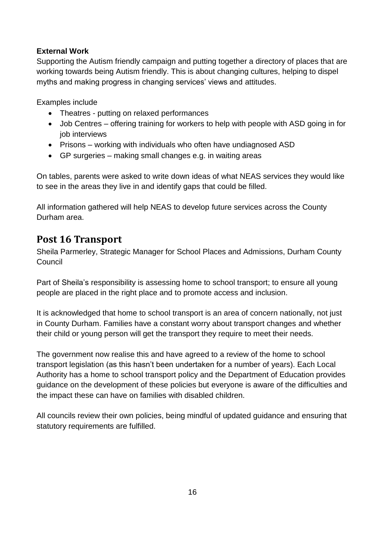#### **External Work**

Supporting the Autism friendly campaign and putting together a directory of places that are working towards being Autism friendly. This is about changing cultures, helping to dispel myths and making progress in changing services' views and attitudes.

Examples include

- Theatres putting on relaxed performances
- Job Centres offering training for workers to help with people with ASD going in for job interviews
- Prisons working with individuals who often have undiagnosed ASD
- GP surgeries making small changes e.g. in waiting areas

On tables, parents were asked to write down ideas of what NEAS services they would like to see in the areas they live in and identify gaps that could be filled.

All information gathered will help NEAS to develop future services across the County Durham area.

## <span id="page-15-0"></span>**Post 16 Transport**

Sheila Parmerley, Strategic Manager for School Places and Admissions, Durham County **Council** 

Part of Sheila's responsibility is assessing home to school transport; to ensure all young people are placed in the right place and to promote access and inclusion.

It is acknowledged that home to school transport is an area of concern nationally, not just in County Durham. Families have a constant worry about transport changes and whether their child or young person will get the transport they require to meet their needs.

The government now realise this and have agreed to a review of the home to school transport legislation (as this hasn't been undertaken for a number of years). Each Local Authority has a home to school transport policy and the Department of Education provides guidance on the development of these policies but everyone is aware of the difficulties and the impact these can have on families with disabled children.

All councils review their own policies, being mindful of updated guidance and ensuring that statutory requirements are fulfilled.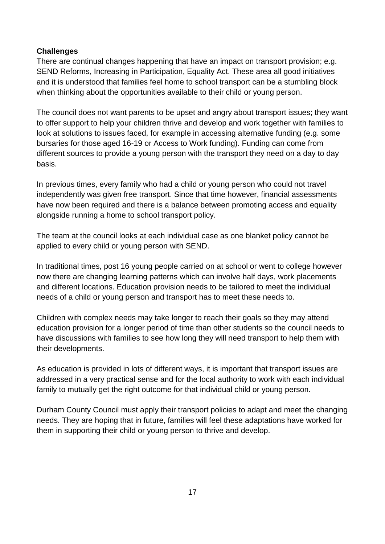#### **Challenges**

There are continual changes happening that have an impact on transport provision; e.g. SEND Reforms, Increasing in Participation, Equality Act. These area all good initiatives and it is understood that families feel home to school transport can be a stumbling block when thinking about the opportunities available to their child or young person.

The council does not want parents to be upset and angry about transport issues; they want to offer support to help your children thrive and develop and work together with families to look at solutions to issues faced, for example in accessing alternative funding (e.g. some bursaries for those aged 16-19 or Access to Work funding). Funding can come from different sources to provide a young person with the transport they need on a day to day basis.

In previous times, every family who had a child or young person who could not travel independently was given free transport. Since that time however, financial assessments have now been required and there is a balance between promoting access and equality alongside running a home to school transport policy.

The team at the council looks at each individual case as one blanket policy cannot be applied to every child or young person with SEND.

In traditional times, post 16 young people carried on at school or went to college however now there are changing learning patterns which can involve half days, work placements and different locations. Education provision needs to be tailored to meet the individual needs of a child or young person and transport has to meet these needs to.

Children with complex needs may take longer to reach their goals so they may attend education provision for a longer period of time than other students so the council needs to have discussions with families to see how long they will need transport to help them with their developments.

As education is provided in lots of different ways, it is important that transport issues are addressed in a very practical sense and for the local authority to work with each individual family to mutually get the right outcome for that individual child or young person.

Durham County Council must apply their transport policies to adapt and meet the changing needs. They are hoping that in future, families will feel these adaptations have worked for them in supporting their child or young person to thrive and develop.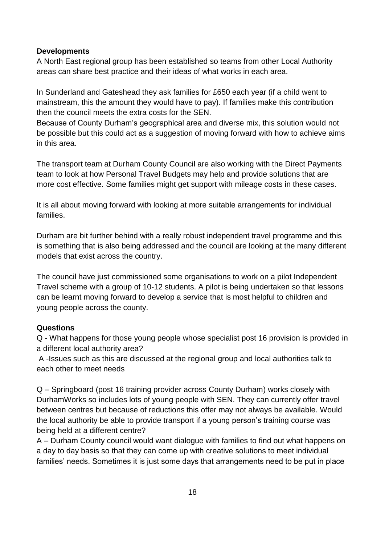#### **Developments**

A North East regional group has been established so teams from other Local Authority areas can share best practice and their ideas of what works in each area.

In Sunderland and Gateshead they ask families for £650 each year (if a child went to mainstream, this the amount they would have to pay). If families make this contribution then the council meets the extra costs for the SEN.

Because of County Durham's geographical area and diverse mix, this solution would not be possible but this could act as a suggestion of moving forward with how to achieve aims in this area.

The transport team at Durham County Council are also working with the Direct Payments team to look at how Personal Travel Budgets may help and provide solutions that are more cost effective. Some families might get support with mileage costs in these cases.

It is all about moving forward with looking at more suitable arrangements for individual families.

Durham are bit further behind with a really robust independent travel programme and this is something that is also being addressed and the council are looking at the many different models that exist across the country.

The council have just commissioned some organisations to work on a pilot Independent Travel scheme with a group of 10-12 students. A pilot is being undertaken so that lessons can be learnt moving forward to develop a service that is most helpful to children and young people across the county.

#### **Questions**

Q - What happens for those young people whose specialist post 16 provision is provided in a different local authority area?

A -Issues such as this are discussed at the regional group and local authorities talk to each other to meet needs

Q – Springboard (post 16 training provider across County Durham) works closely with DurhamWorks so includes lots of young people with SEN. They can currently offer travel between centres but because of reductions this offer may not always be available. Would the local authority be able to provide transport if a young person's training course was being held at a different centre?

A – Durham County council would want dialogue with families to find out what happens on a day to day basis so that they can come up with creative solutions to meet individual families' needs. Sometimes it is just some days that arrangements need to be put in place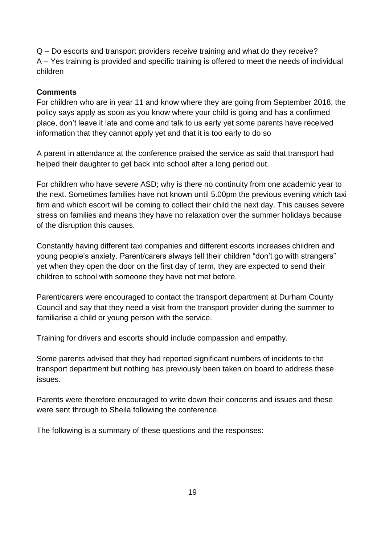Q – Do escorts and transport providers receive training and what do they receive? A – Yes training is provided and specific training is offered to meet the needs of individual children

#### **Comments**

For children who are in year 11 and know where they are going from September 2018, the policy says apply as soon as you know where your child is going and has a confirmed place, don't leave it late and come and talk to us early yet some parents have received information that they cannot apply yet and that it is too early to do so

A parent in attendance at the conference praised the service as said that transport had helped their daughter to get back into school after a long period out.

For children who have severe ASD; why is there no continuity from one academic year to the next. Sometimes families have not known until 5.00pm the previous evening which taxi firm and which escort will be coming to collect their child the next day. This causes severe stress on families and means they have no relaxation over the summer holidays because of the disruption this causes.

Constantly having different taxi companies and different escorts increases children and young people's anxiety. Parent/carers always tell their children "don't go with strangers" yet when they open the door on the first day of term, they are expected to send their children to school with someone they have not met before.

Parent/carers were encouraged to contact the transport department at Durham County Council and say that they need a visit from the transport provider during the summer to familiarise a child or young person with the service.

Training for drivers and escorts should include compassion and empathy.

Some parents advised that they had reported significant numbers of incidents to the transport department but nothing has previously been taken on board to address these issues.

Parents were therefore encouraged to write down their concerns and issues and these were sent through to Sheila following the conference.

The following is a summary of these questions and the responses: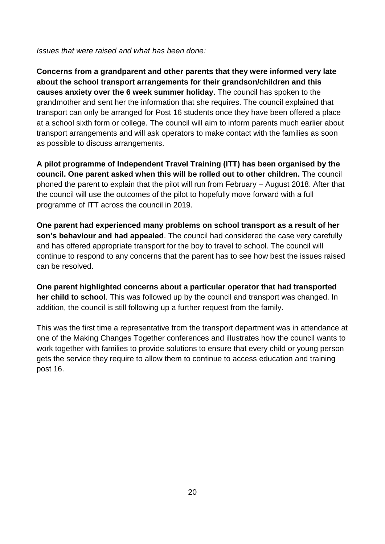*Issues that were raised and what has been done:*

**Concerns from a grandparent and other parents that they were informed very late about the school transport arrangements for their grandson/children and this causes anxiety over the 6 week summer holiday**. The council has spoken to the grandmother and sent her the information that she requires. The council explained that transport can only be arranged for Post 16 students once they have been offered a place at a school sixth form or college. The council will aim to inform parents much earlier about transport arrangements and will ask operators to make contact with the families as soon as possible to discuss arrangements.

**A pilot programme of Independent Travel Training (ITT) has been organised by the council. One parent asked when this will be rolled out to other children.** The council phoned the parent to explain that the pilot will run from February – August 2018. After that the council will use the outcomes of the pilot to hopefully move forward with a full programme of ITT across the council in 2019.

**One parent had experienced many problems on school transport as a result of her son's behaviour and had appealed**. The council had considered the case very carefully and has offered appropriate transport for the boy to travel to school. The council will continue to respond to any concerns that the parent has to see how best the issues raised can be resolved.

**One parent highlighted concerns about a particular operator that had transported her child to school**. This was followed up by the council and transport was changed. In addition, the council is still following up a further request from the family.

This was the first time a representative from the transport department was in attendance at one of the Making Changes Together conferences and illustrates how the council wants to work together with families to provide solutions to ensure that every child or young person gets the service they require to allow them to continue to access education and training post 16.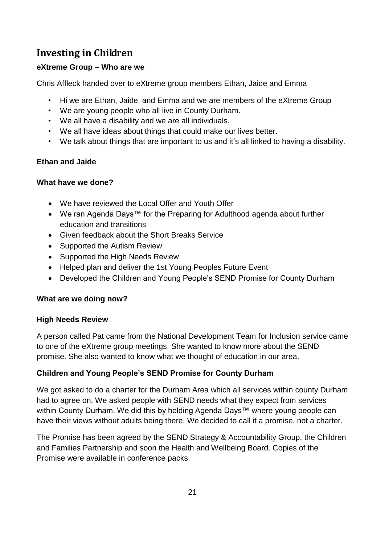## <span id="page-20-0"></span>**Investing in Children**

#### **eXtreme Group – Who are we**

Chris Affleck handed over to eXtreme group members Ethan, Jaide and Emma

- Hi we are Ethan, Jaide, and Emma and we are members of the eXtreme Group
- We are young people who all live in County Durham.
- We all have a disability and we are all individuals.
- We all have ideas about things that could make our lives better.
- We talk about things that are important to us and it's all linked to having a disability.

#### **Ethan and Jaide**

#### **What have we done?**

- We have reviewed the Local Offer and Youth Offer
- We ran Agenda Days™ for the Preparing for Adulthood agenda about further education and transitions
- Given feedback about the Short Breaks Service
- Supported the Autism Review
- Supported the High Needs Review
- Helped plan and deliver the 1st Young Peoples Future Event
- Developed the Children and Young People's SEND Promise for County Durham

#### **What are we doing now?**

#### **High Needs Review**

A person called Pat came from the National Development Team for Inclusion service came to one of the eXtreme group meetings. She wanted to know more about the SEND promise. She also wanted to know what we thought of education in our area.

#### **Children and Young People's SEND Promise for County Durham**

We got asked to do a charter for the Durham Area which all services within county Durham had to agree on. We asked people with SEND needs what they expect from services within County Durham. We did this by holding Agenda Days™ where young people can have their views without adults being there. We decided to call it a promise, not a charter.

The Promise has been agreed by the SEND Strategy & Accountability Group, the Children and Families Partnership and soon the Health and Wellbeing Board. Copies of the Promise were available in conference packs.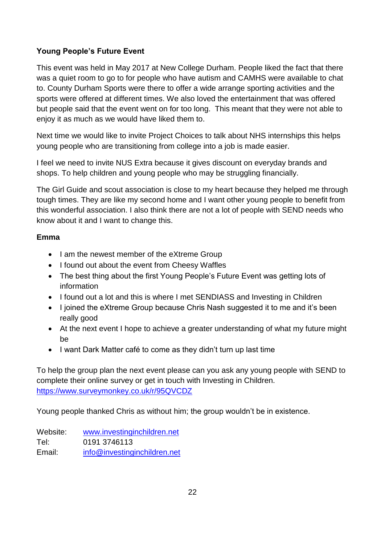#### **Young People's Future Event**

This event was held in May 2017 at New College Durham. People liked the fact that there was a quiet room to go to for people who have autism and CAMHS were available to chat to. County Durham Sports were there to offer a wide arrange sporting activities and the sports were offered at different times. We also loved the entertainment that was offered but people said that the event went on for too long. This meant that they were not able to enjoy it as much as we would have liked them to.

Next time we would like to invite Project Choices to talk about NHS internships this helps young people who are transitioning from college into a job is made easier.

I feel we need to invite NUS Extra because it gives discount on everyday brands and shops. To help children and young people who may be struggling financially.

The Girl Guide and scout association is close to my heart because they helped me through tough times. They are like my second home and I want other young people to benefit from this wonderful association. I also think there are not a lot of people with SEND needs who know about it and I want to change this.

#### **Emma**

- I am the newest member of the eXtreme Group
- I found out about the event from Cheesy Waffles
- The best thing about the first Young People's Future Event was getting lots of information
- I found out a lot and this is where I met SENDIASS and Investing in Children
- I joined the eXtreme Group because Chris Nash suggested it to me and it's been really good
- At the next event I hope to achieve a greater understanding of what my future might be
- I want Dark Matter café to come as they didn't turn up last time

To help the group plan the next event please can you ask any young people with SEND to complete their online survey or get in touch with Investing in Children. <https://www.surveymonkey.co.uk/r/95QVCDZ>

Young people thanked Chris as without him; the group wouldn't be in existence.

Website: [www.investinginchildren.net](http://www.investinginchildren.net/) Tel: 0191 3746113 Email: [info@investinginchildren.net](mailto:info@investinginchildren.net)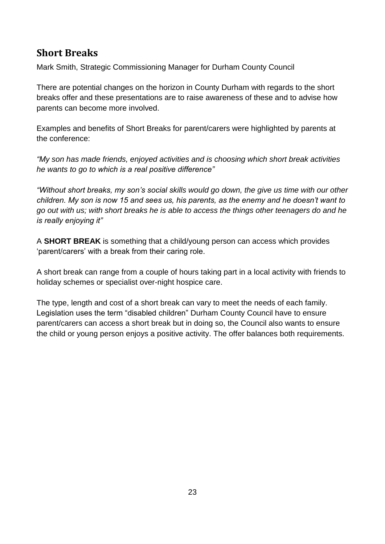## <span id="page-22-0"></span>**Short Breaks**

Mark Smith, Strategic Commissioning Manager for Durham County Council

There are potential changes on the horizon in County Durham with regards to the short breaks offer and these presentations are to raise awareness of these and to advise how parents can become more involved.

Examples and benefits of Short Breaks for parent/carers were highlighted by parents at the conference:

*"My son has made friends, enjoyed activities and is choosing which short break activities he wants to go to which is a real positive difference"*

*"Without short breaks, my son's social skills would go down, the give us time with our other children. My son is now 15 and sees us, his parents, as the enemy and he doesn't want to go out with us; with short breaks he is able to access the things other teenagers do and he is really enjoying it"*

A **SHORT BREAK** is something that a child/young person can access which provides 'parent/carers' with a break from their caring role.

A short break can range from a couple of hours taking part in a local activity with friends to holiday schemes or specialist over-night hospice care.

The type, length and cost of a short break can vary to meet the needs of each family. Legislation uses the term "disabled children" Durham County Council have to ensure parent/carers can access a short break but in doing so, the Council also wants to ensure the child or young person enjoys a positive activity. The offer balances both requirements.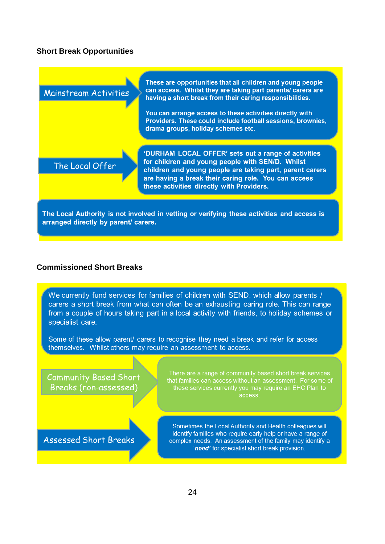#### **Short Break Opportunities**



The Local Authority is not involved in vetting or verifying these activities and access is arranged directly by parent/ carers.

#### **Commissioned Short Breaks**

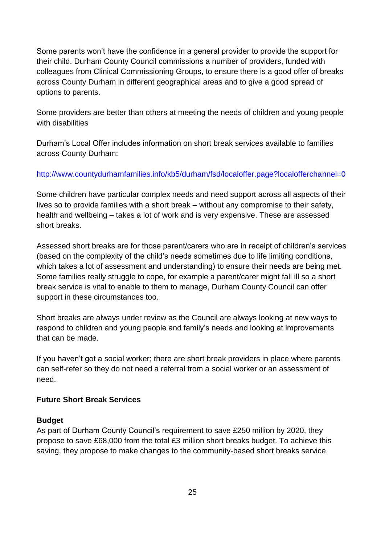Some parents won't have the confidence in a general provider to provide the support for their child. Durham County Council commissions a number of providers, funded with colleagues from Clinical Commissioning Groups, to ensure there is a good offer of breaks across County Durham in different geographical areas and to give a good spread of options to parents.

Some providers are better than others at meeting the needs of children and young people with disabilities

Durham's Local Offer includes information on short break services available to families across County Durham:

#### <http://www.countydurhamfamilies.info/kb5/durham/fsd/localoffer.page?localofferchannel=0>

Some children have particular complex needs and need support across all aspects of their lives so to provide families with a short break – without any compromise to their safety, health and wellbeing – takes a lot of work and is very expensive. These are assessed short breaks.

Assessed short breaks are for those parent/carers who are in receipt of children's services (based on the complexity of the child's needs sometimes due to life limiting conditions, which takes a lot of assessment and understanding) to ensure their needs are being met. Some families really struggle to cope, for example a parent/carer might fall ill so a short break service is vital to enable to them to manage, Durham County Council can offer support in these circumstances too.

Short breaks are always under review as the Council are always looking at new ways to respond to children and young people and family's needs and looking at improvements that can be made.

If you haven't got a social worker; there are short break providers in place where parents can self-refer so they do not need a referral from a social worker or an assessment of need.

#### **Future Short Break Services**

#### **Budget**

As part of Durham County Council's requirement to save £250 million by 2020, they propose to save £68,000 from the total £3 million short breaks budget. To achieve this saving, they propose to make changes to the community-based short breaks service.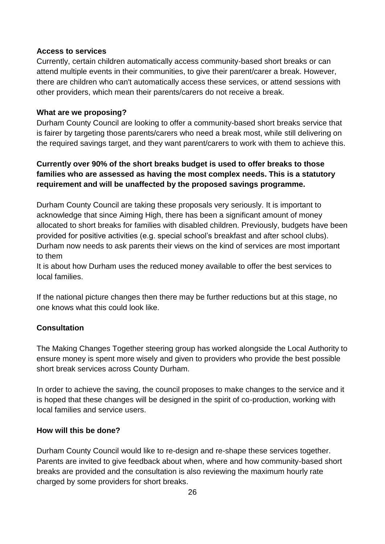#### **Access to services**

Currently, certain children automatically access community-based short breaks or can attend multiple events in their communities, to give their parent/carer a break. However, there are children who can't automatically access these services, or attend sessions with other providers, which mean their parents/carers do not receive a break.

#### **What are we proposing?**

Durham County Council are looking to offer a community-based short breaks service that is fairer by targeting those parents/carers who need a break most, while still delivering on the required savings target, and they want parent/carers to work with them to achieve this.

#### **Currently over 90% of the short breaks budget is used to offer breaks to those families who are assessed as having the most complex needs. This is a statutory requirement and will be unaffected by the proposed savings programme.**

Durham County Council are taking these proposals very seriously. It is important to acknowledge that since Aiming High, there has been a significant amount of money allocated to short breaks for families with disabled children. Previously, budgets have been provided for positive activities (e.g. special school's breakfast and after school clubs). Durham now needs to ask parents their views on the kind of services are most important to them

It is about how Durham uses the reduced money available to offer the best services to local families.

If the national picture changes then there may be further reductions but at this stage, no one knows what this could look like.

#### **Consultation**

The Making Changes Together steering group has worked alongside the Local Authority to ensure money is spent more wisely and given to providers who provide the best possible short break services across County Durham.

In order to achieve the saving, the council proposes to make changes to the service and it is hoped that these changes will be designed in the spirit of co-production, working with local families and service users.

#### **How will this be done?**

Durham County Council would like to re-design and re-shape these services together. Parents are invited to give feedback about when, where and how community-based short breaks are provided and the consultation is also reviewing the maximum hourly rate charged by some providers for short breaks.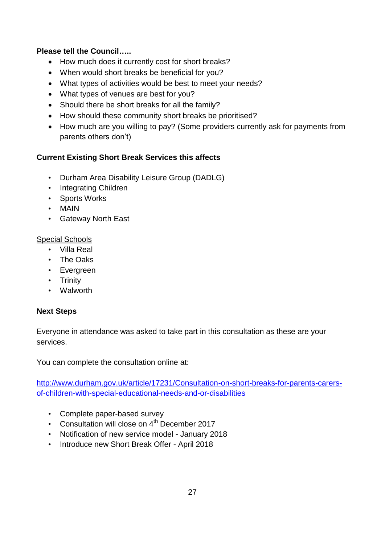#### **Please tell the Council…..**

- How much does it currently cost for short breaks?
- When would short breaks be beneficial for you?
- What types of activities would be best to meet your needs?
- What types of venues are best for you?
- Should there be short breaks for all the family?
- How should these community short breaks be prioritised?
- How much are you willing to pay? (Some providers currently ask for payments from parents others don't)

#### **Current Existing Short Break Services this affects**

- Durham Area Disability Leisure Group (DADLG)
- Integrating Children
- Sports Works
- MAIN
- Gateway North East

#### Special Schools

- Villa Real
- The Oaks
- Evergreen
- Trinity
- Walworth

#### **Next Steps**

Everyone in attendance was asked to take part in this consultation as these are your services.

You can complete the consultation online at:

[http://www.durham.gov.uk/article/17231/Consultation-on-short-breaks-for-parents-carers](http://www.durham.gov.uk/article/17231/Consultation-on-short-breaks-for-parents-carers-of-children-with-special-educational-needs-and-or-disabilities)[of-children-with-special-educational-needs-and-or-disabilities](http://www.durham.gov.uk/article/17231/Consultation-on-short-breaks-for-parents-carers-of-children-with-special-educational-needs-and-or-disabilities)

- Complete paper-based survey
- Consultation will close on 4<sup>th</sup> December 2017
- Notification of new service model January 2018
- Introduce new Short Break Offer April 2018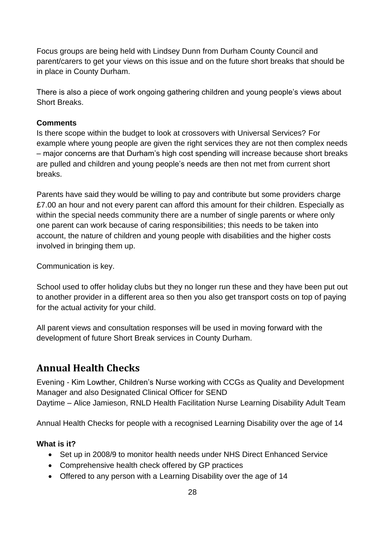Focus groups are being held with Lindsey Dunn from Durham County Council and parent/carers to get your views on this issue and on the future short breaks that should be in place in County Durham.

There is also a piece of work ongoing gathering children and young people's views about Short Breaks.

#### **Comments**

Is there scope within the budget to look at crossovers with Universal Services? For example where young people are given the right services they are not then complex needs – major concerns are that Durham's high cost spending will increase because short breaks are pulled and children and young people's needs are then not met from current short breaks.

Parents have said they would be willing to pay and contribute but some providers charge £7.00 an hour and not every parent can afford this amount for their children. Especially as within the special needs community there are a number of single parents or where only one parent can work because of caring responsibilities; this needs to be taken into account, the nature of children and young people with disabilities and the higher costs involved in bringing them up.

Communication is key.

School used to offer holiday clubs but they no longer run these and they have been put out to another provider in a different area so then you also get transport costs on top of paying for the actual activity for your child.

All parent views and consultation responses will be used in moving forward with the development of future Short Break services in County Durham.

## <span id="page-27-0"></span>**Annual Health Checks**

Evening - Kim Lowther, Children's Nurse working with CCGs as Quality and Development Manager and also Designated Clinical Officer for SEND Daytime – Alice Jamieson, RNLD Health Facilitation Nurse Learning Disability Adult Team

Annual Health Checks for people with a recognised Learning Disability over the age of 14

#### **What is it?**

- Set up in 2008/9 to monitor health needs under NHS Direct Enhanced Service
- Comprehensive health check offered by GP practices
- Offered to any person with a Learning Disability over the age of 14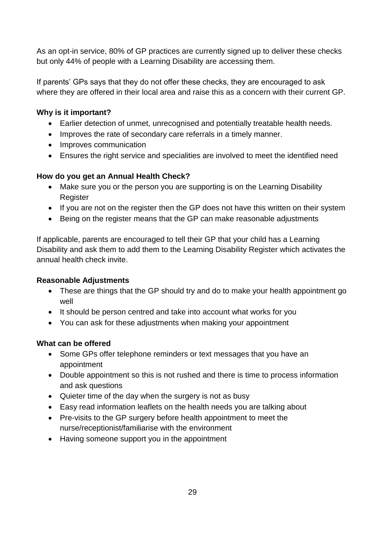As an opt-in service, 80% of GP practices are currently signed up to deliver these checks but only 44% of people with a Learning Disability are accessing them.

If parents' GPs says that they do not offer these checks, they are encouraged to ask where they are offered in their local area and raise this as a concern with their current GP.

#### **Why is it important?**

- Earlier detection of unmet, unrecognised and potentially treatable health needs.
- Improves the rate of secondary care referrals in a timely manner.
- Improves communication
- Ensures the right service and specialities are involved to meet the identified need

#### **How do you get an Annual Health Check?**

- Make sure you or the person you are supporting is on the Learning Disability Register
- If you are not on the register then the GP does not have this written on their system
- Being on the register means that the GP can make reasonable adjustments

If applicable, parents are encouraged to tell their GP that your child has a Learning Disability and ask them to add them to the Learning Disability Register which activates the annual health check invite.

#### **Reasonable Adjustments**

- These are things that the GP should try and do to make your health appointment go well
- It should be person centred and take into account what works for you
- You can ask for these adjustments when making your appointment

#### **What can be offered**

- Some GPs offer telephone reminders or text messages that you have an appointment
- Double appointment so this is not rushed and there is time to process information and ask questions
- Quieter time of the day when the surgery is not as busy
- Easy read information leaflets on the health needs you are talking about
- Pre-visits to the GP surgery before health appointment to meet the nurse/receptionist/familiarise with the environment
- Having someone support you in the appointment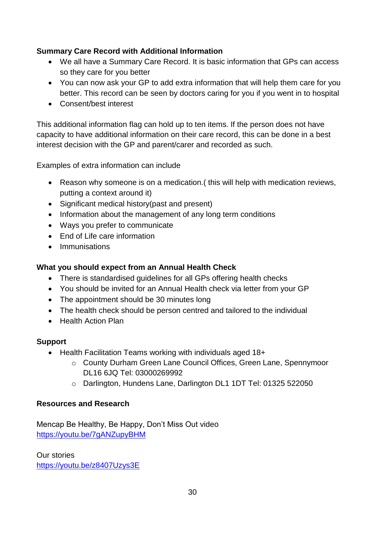#### **Summary Care Record with Additional Information**

- We all have a Summary Care Record. It is basic information that GPs can access so they care for you better
- You can now ask your GP to add extra information that will help them care for you better. This record can be seen by doctors caring for you if you went in to hospital
- Consent/best interest

This additional information flag can hold up to ten items. If the person does not have capacity to have additional information on their care record, this can be done in a best interest decision with the GP and parent/carer and recorded as such.

Examples of extra information can include

- Reason why someone is on a medication.( this will help with medication reviews, putting a context around it)
- Significant medical history(past and present)
- Information about the management of any long term conditions
- Ways you prefer to communicate
- End of Life care information
- Immunisations

#### **What you should expect from an Annual Health Check**

- There is standardised guidelines for all GPs offering health checks
- You should be invited for an Annual Health check via letter from your GP
- The appointment should be 30 minutes long
- The health check should be person centred and tailored to the individual
- Health Action Plan

#### **Support**

- Health Facilitation Teams working with individuals aged 18+
	- o County Durham Green Lane Council Offices, Green Lane, Spennymoor DL16 6JQ Tel: 03000269992
	- o Darlington, Hundens Lane, Darlington DL1 1DT Tel: 01325 522050

#### **Resources and Research**

Mencap Be Healthy, Be Happy, Don't Miss Out video <https://youtu.be/7gANZupyBHM>

Our stories <https://youtu.be/z8407Uzys3E>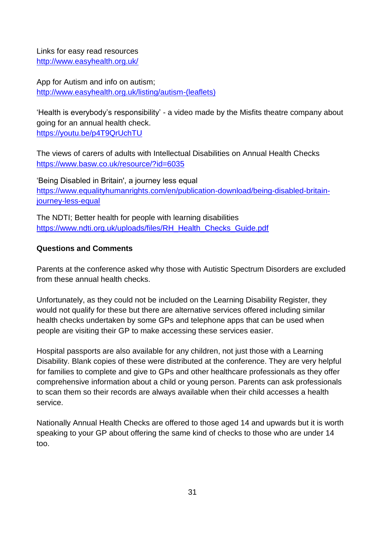Links for easy read resources <http://www.easyhealth.org.uk/>

App for Autism and info on autism; [http://www.easyhealth.org.uk/listing/autism-\(leaflets\)](http://www.easyhealth.org.uk/listing/autism-(leaflets))

'Health is everybody's responsibility' - a video made by the Misfits theatre company about going for an annual health check. <https://youtu.be/p4T9QrUchTU>

The views of carers of adults with Intellectual Disabilities on Annual Health Checks <https://www.basw.co.uk/resource/?id=6035>

'Being Disabled in Britain', a journey less equal [https://www.equalityhumanrights.com/en/publication-download/being-disabled-britain](https://www.equalityhumanrights.com/en/publication-download/being-disabled-britain-journey-less-equal)[journey-less-equal](https://www.equalityhumanrights.com/en/publication-download/being-disabled-britain-journey-less-equal)

The NDTI; Better health for people with learning disabilities [https://www.ndti.org.uk/uploads/files/RH\\_Health\\_Checks\\_Guide.pdf](https://www.ndti.org.uk/uploads/files/RH_Health_Checks_Guide.pdf)

#### **Questions and Comments**

Parents at the conference asked why those with Autistic Spectrum Disorders are excluded from these annual health checks.

Unfortunately, as they could not be included on the Learning Disability Register, they would not qualify for these but there are alternative services offered including similar health checks undertaken by some GPs and telephone apps that can be used when people are visiting their GP to make accessing these services easier.

Hospital passports are also available for any children, not just those with a Learning Disability. Blank copies of these were distributed at the conference. They are very helpful for families to complete and give to GPs and other healthcare professionals as they offer comprehensive information about a child or young person. Parents can ask professionals to scan them so their records are always available when their child accesses a health service.

Nationally Annual Health Checks are offered to those aged 14 and upwards but it is worth speaking to your GP about offering the same kind of checks to those who are under 14 too.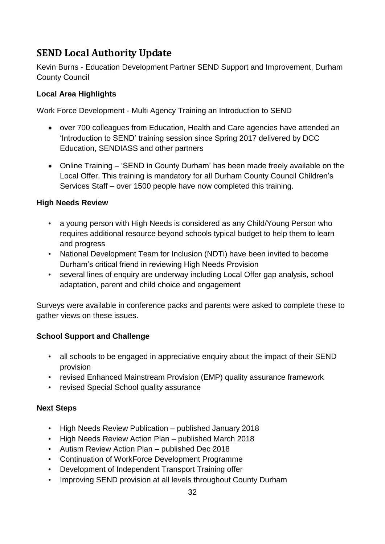## <span id="page-31-0"></span>**SEND Local Authority Update**

Kevin Burns - Education Development Partner SEND Support and Improvement, Durham County Council

#### **Local Area Highlights**

Work Force Development - Multi Agency Training an Introduction to SEND

- over 700 colleagues from Education, Health and Care agencies have attended an 'Introduction to SEND' training session since Spring 2017 delivered by DCC Education, SENDIASS and other partners
- Online Training 'SEND in County Durham' has been made freely available on the Local Offer. This training is mandatory for all Durham County Council Children's Services Staff – over 1500 people have now completed this training.

#### **High Needs Review**

- a young person with High Needs is considered as any Child/Young Person who requires additional resource beyond schools typical budget to help them to learn and progress
- National Development Team for Inclusion (NDTi) have been invited to become Durham's critical friend in reviewing High Needs Provision
- several lines of enquiry are underway including Local Offer gap analysis, school adaptation, parent and child choice and engagement

Surveys were available in conference packs and parents were asked to complete these to gather views on these issues.

#### **School Support and Challenge**

- all schools to be engaged in appreciative enquiry about the impact of their SEND provision
- revised Enhanced Mainstream Provision (EMP) quality assurance framework
- revised Special School quality assurance

#### **Next Steps**

- High Needs Review Publication published January 2018
- High Needs Review Action Plan published March 2018
- Autism Review Action Plan published Dec 2018
- Continuation of WorkForce Development Programme
- Development of Independent Transport Training offer
- Improving SEND provision at all levels throughout County Durham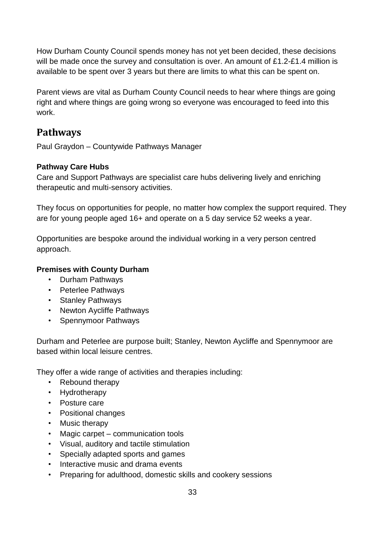How Durham County Council spends money has not yet been decided, these decisions will be made once the survey and consultation is over. An amount of £1.2-£1.4 million is available to be spent over 3 years but there are limits to what this can be spent on.

Parent views are vital as Durham County Council needs to hear where things are going right and where things are going wrong so everyone was encouraged to feed into this work.

## <span id="page-32-0"></span>**Pathways**

Paul Graydon – Countywide Pathways Manager

#### **Pathway Care Hubs**

Care and Support Pathways are specialist care hubs delivering lively and enriching therapeutic and multi-sensory activities.

They focus on opportunities for people, no matter how complex the support required. They are for young people aged 16+ and operate on a 5 day service 52 weeks a year.

Opportunities are bespoke around the individual working in a very person centred approach.

#### **Premises with County Durham**

- Durham Pathways
- Peterlee Pathways
- Stanley Pathways
- Newton Aycliffe Pathways
- Spennymoor Pathways

Durham and Peterlee are purpose built; Stanley, Newton Aycliffe and Spennymoor are based within local leisure centres.

They offer a wide range of activities and therapies including:

- Rebound therapy
- Hydrotherapy
- Posture care
- Positional changes
- Music therapy
- Magic carpet communication tools
- Visual, auditory and tactile stimulation
- Specially adapted sports and games
- Interactive music and drama events
- Preparing for adulthood, domestic skills and cookery sessions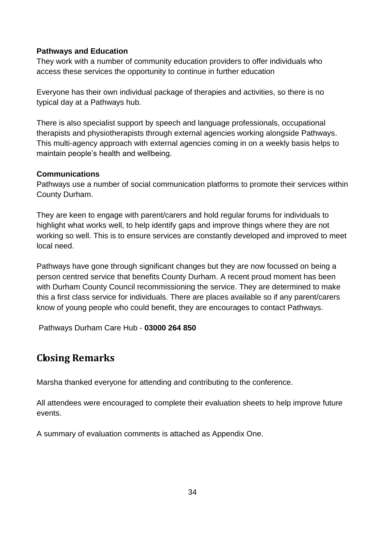#### **Pathways and Education**

They work with a number of community education providers to offer individuals who access these services the opportunity to continue in further education

Everyone has their own individual package of therapies and activities, so there is no typical day at a Pathways hub.

There is also specialist support by speech and language professionals, occupational therapists and physiotherapists through external agencies working alongside Pathways. This multi-agency approach with external agencies coming in on a weekly basis helps to maintain people's health and wellbeing.

#### **Communications**

Pathways use a number of social communication platforms to promote their services within County Durham.

They are keen to engage with parent/carers and hold regular forums for individuals to highlight what works well, to help identify gaps and improve things where they are not working so well. This is to ensure services are constantly developed and improved to meet local need.

Pathways have gone through significant changes but they are now focussed on being a person centred service that benefits County Durham. A recent proud moment has been with Durham County Council recommissioning the service. They are determined to make this a first class service for individuals. There are places available so if any parent/carers know of young people who could benefit, they are encourages to contact Pathways.

Pathways Durham Care Hub - **03000 264 850**

## <span id="page-33-0"></span>**Closing Remarks**

Marsha thanked everyone for attending and contributing to the conference.

All attendees were encouraged to complete their evaluation sheets to help improve future events.

A summary of evaluation comments is attached as Appendix One.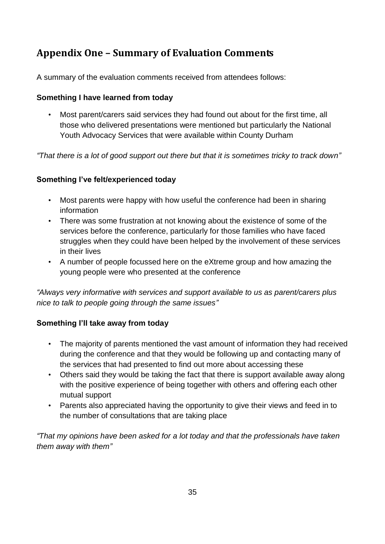## <span id="page-34-0"></span>**Appendix One – Summary of Evaluation Comments**

A summary of the evaluation comments received from attendees follows:

#### **Something I have learned from today**

• Most parent/carers said services they had found out about for the first time, all those who delivered presentations were mentioned but particularly the National Youth Advocacy Services that were available within County Durham

*"That there is a lot of good support out there but that it is sometimes tricky to track down"*

#### **Something I've felt/experienced today**

- Most parents were happy with how useful the conference had been in sharing information
- There was some frustration at not knowing about the existence of some of the services before the conference, particularly for those families who have faced struggles when they could have been helped by the involvement of these services in their lives
- A number of people focussed here on the eXtreme group and how amazing the young people were who presented at the conference

*"Always very informative with services and support available to us as parent/carers plus nice to talk to people going through the same issues"*

#### **Something I'll take away from today**

- The majority of parents mentioned the vast amount of information they had received during the conference and that they would be following up and contacting many of the services that had presented to find out more about accessing these
- Others said they would be taking the fact that there is support available away along with the positive experience of being together with others and offering each other mutual support
- Parents also appreciated having the opportunity to give their views and feed in to the number of consultations that are taking place

*"That my opinions have been asked for a lot today and that the professionals have taken them away with them"*